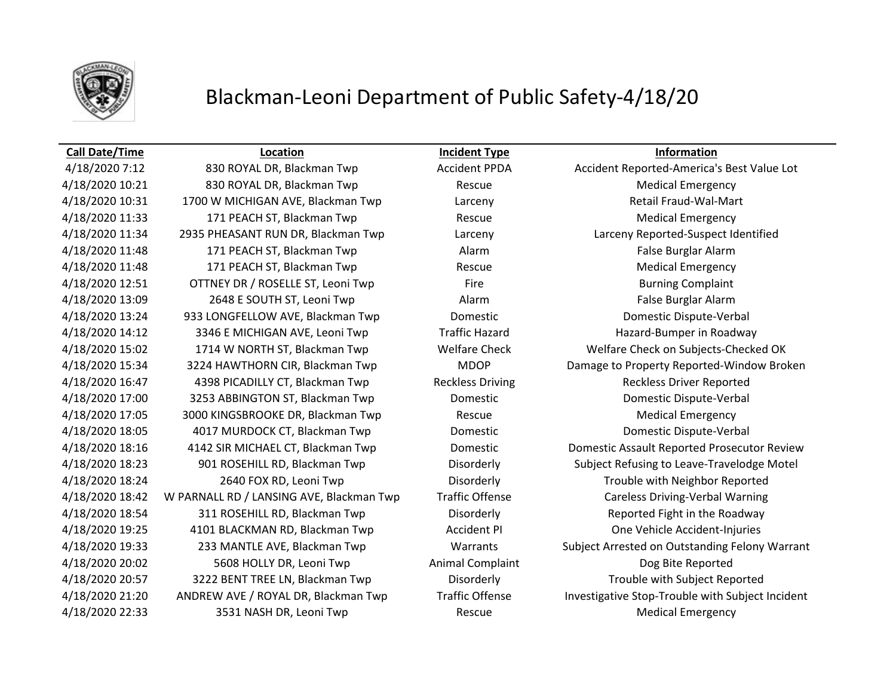

### Blackman-Leoni Department of Public Safety-4/18/20

4/18/2020 10:21 830 ROYAL DR, Blackman Twp Rescue Medical Emergency 4/18/2020 10:31 1700 W MICHIGAN AVE, Blackman Twp Larceny Larceny Retail Fraud-Wal-Mart A/18/2020 11:33 171 PEACH ST, Blackman Twp Rescue Rescue Medical Emergency 4/18/2020 11:48 171 PEACH ST, Blackman Twp Alarm Alarm Alarm False Burglar Alarm 4/18/2020 11:48 171 PEACH ST, Blackman Twp Rescue Medical Emergency 4/18/2020 12:51 OTTNEY DR / ROSELLE ST, Leoni Twp Fire Fire Fire Burning Complaint 4/18/2020 13:09 2648 E SOUTH ST, Leoni Twp Alarm Alarm Alarm False Burglar Alarm 4/18/2020 13:24 933 LONGFELLOW AVE, Blackman Twp Domestic Domestic Dispute-Verbal 4/18/2020 14:12 3346 E MICHIGAN AVE, Leoni Twp Traffic Hazard Hazard Hazard Hazard-Bumper in Roadway 4/18/2020 16:47 4398 PICADILLY CT, Blackman Twp Reckless Driving Reckless Driver Reported 4/18/2020 17:00 3253 ABBINGTON ST, Blackman Twp Domestic Domestic Dispute-Verbal 4/18/2020 17:05 3000 KINGSBROOKE DR, Blackman Twp Rescue Medical Emergency 4/18/2020 18:05 4017 MURDOCK CT, Blackman Twp Domestic Domestic Dispute-Verbal 4/18/2020 20:02 5608 HOLLY DR, Leoni Twp Animal Complaint Dog Bite Reported 4/18/2020 20:57 3222 BENT TREE LN, Blackman Twp Disorderly Trouble with Subject Reported 4/18/2020 22:33 3531 NASH DR, Leoni Twp Rescue Medical Emergency

# **Call Date/Time Location Incident Type Information** 4/18/2020 7:12 830 ROYAL DR, Blackman Twp **Accident PPDA** Accident Reported-America's Best Value Lot 4/18/2020 11:34 2935 PHEASANT RUN DR, Blackman Twp Larceny Larceny Reported-Suspect Identified 4/18/2020 15:02 1714 W NORTH ST, Blackman Twp Welfare Check Welfare Check on Subjects-Checked OK 4/18/2020 15:34 3224 HAWTHORN CIR, Blackman Twp MDOP Damage to Property Reported-Window Broken 4/18/2020 18:16 4142 SIR MICHAEL CT, Blackman Twp Domestic Domestic Assault Reported Prosecutor Review 4/18/2020 18:23 901 ROSEHILL RD, Blackman Twp Disorderly Subject Refusing to Leave-Travelodge Motel 4/18/2020 18:24 2640 FOX RD, Leoni Twp Disorderly Trouble with Neighbor Reported 4/18/2020 18:42 W PARNALL RD / LANSING AVE, Blackman Twp Traffic Offense Careless Driving-Verbal Warning 4/18/2020 18:54 311 ROSEHILL RD, Blackman Twp Disorderly Reported Fight in the Roadway 4/18/2020 19:25 4101 BLACKMAN RD, Blackman Twp Accident PI One Vehicle Accident-Injuries

4/18/2020 19:33 233 MANTLE AVE, Blackman Twp Warrants Subject Arrested on Outstanding Felony Warrant 4/18/2020 21:20 ANDREW AVE / ROYAL DR, Blackman Twp Traffic Offense Investigative Stop-Trouble with Subject Incident